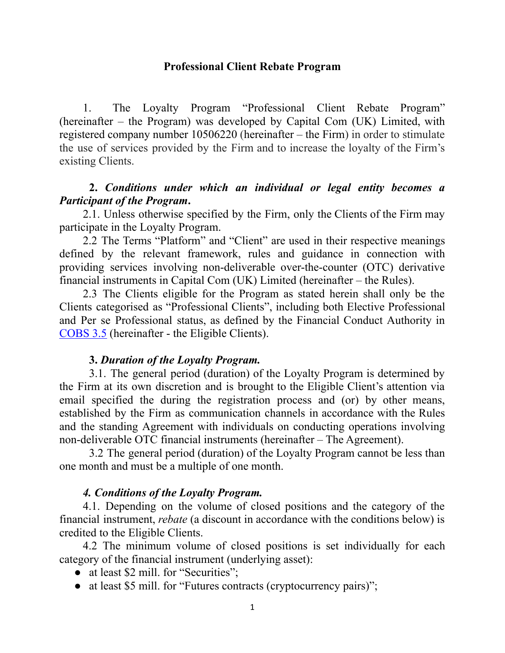#### **Professional Client Rebate Program**

1. The Loyalty Program "Professional Client Rebate Program" (hereinafter – the Program) was developed by Capital Com (UK) Limited, with registered company number 10506220 (hereinafter – the Firm) in order to stimulate the use of services provided by the Firm and to increase the loyalty of the Firm's existing Clients.

# **2.** *Conditions under which an individual or legal entity becomes a Participant of the Program***.**

2.1. Unless otherwise specified by the Firm, only the Clients of the Firm may participate in the Loyalty Program.

2.2 The Terms "Platform" and "Client" are used in their respective meanings defined by the relevant framework, rules and guidance in connection with providing services involving non-deliverable over-the-counter (OTC) derivative financial instruments in Capital Com (UK) Limited (hereinafter – the Rules).

2.3 The Clients eligible for the Program as stated herein shall only be the Clients categorised as "Professional Clients", including both Elective Professional and Per se Professional status, as defined by the Financial Conduct Authority in [COBS](https://www.handbook.fca.org.uk/handbook/COBS/3/5.html) 3.5 (hereinafter - the Eligible Clients).

### **3.** *Duration of the Loyalty Program.*

3.1. The general period (duration) of the Loyalty Program is determined by the Firm at its own discretion and is brought to the Eligible Client's attention via email specified the during the registration process and (or) by other means, established by the Firm as communication channels in accordance with the Rules and the standing Agreement with individuals on conducting operations involving non-deliverable OTC financial instruments (hereinafter – The Agreement).

3.2 The general period (duration) of the Loyalty Program cannot be less than one month and must be a multiple of one month.

### *4. Conditions of the Loyalty Program.*

4.1. Depending on the volume of closed positions and the category of the financial instrument, *rebate* (a discount in accordance with the conditions below) is credited to the Eligible Clients.

4.2 The minimum volume of closed positions is set individually for each category of the financial instrument (underlying asset):

- at least \$2 mill. for "Securities";
- at least \$5 mill. for "Futures contracts (cryptocurrency pairs)";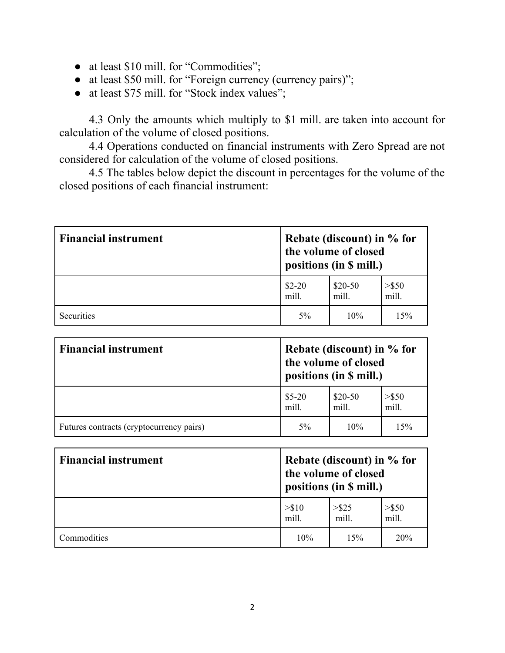- at least \$10 mill. for "Commodities";
- at least \$50 mill. for "Foreign currency (currency pairs)";
- at least \$75 mill. for "Stock index values";

4.3 Only the amounts which multiply to \$1 mill. are taken into account for calculation of the volume of closed positions.

4.4 Operations conducted on financial instruments with Zero Spread are not considered for calculation of the volume of closed positions.

4.5 The tables below depict the discount in percentages for the volume of the closed positions of each financial instrument:

| <b>Financial instrument</b> | Rebate (discount) in % for<br>the volume of closed<br>positions (in \$ mill.) |                   |                   |
|-----------------------------|-------------------------------------------------------------------------------|-------------------|-------------------|
|                             | $$2-20$<br>mill.                                                              | $$20-50$<br>mill. | $>$ \$50<br>mill. |
| Securities                  | 5%                                                                            | 10%               | 15%               |

| <b>Financial instrument</b>              | Rebate (discount) in % for<br>the volume of closed<br>positions (in \$ mill.) |                   |                   |
|------------------------------------------|-------------------------------------------------------------------------------|-------------------|-------------------|
|                                          | $$5-20$<br>mill.                                                              | $$20-50$<br>mill. | $>$ \$50<br>mill. |
| Futures contracts (cryptocurrency pairs) | 5%                                                                            | 10%               | 15%               |

| <b>Financial instrument</b> | Rebate (discount) in % for<br>the volume of closed<br>positions (in \$ mill.) |                   |                   |
|-----------------------------|-------------------------------------------------------------------------------|-------------------|-------------------|
|                             | > \$10<br>mill.                                                               | $>$ \$25<br>mill. | $>$ \$50<br>mill. |
| Commodities                 | 10%                                                                           | 15%               | 20%               |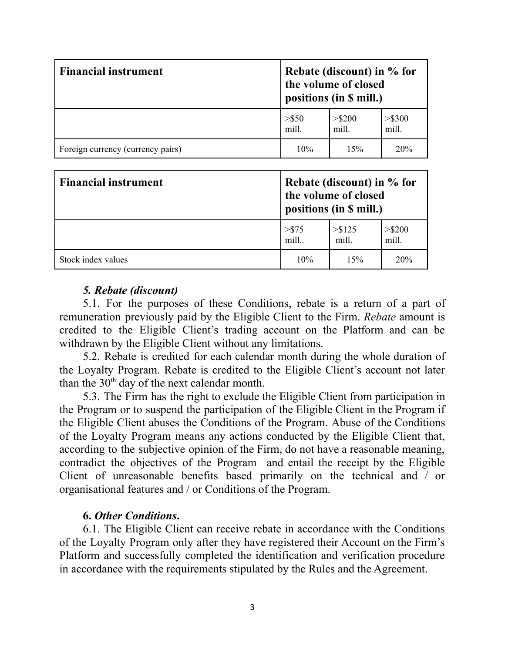| <b>Financial instrument</b>       | Rebate (discount) in % for<br>the volume of closed<br>positions (in \$ mill.) |                  |                  |
|-----------------------------------|-------------------------------------------------------------------------------|------------------|------------------|
|                                   | $>$ \$50<br>mill.                                                             | > \$200<br>mill. | > \$300<br>mill. |
| Foreign currency (currency pairs) | 10%                                                                           | 15%              | 20%              |

| <b>Financial instrument</b> | Rebate (discount) in $%$ for<br>the volume of closed<br>positions (in \$ mill.) |                  |                 |
|-----------------------------|---------------------------------------------------------------------------------|------------------|-----------------|
|                             | $>$ \$75<br>mill.                                                               | > \$125<br>mill. | $>$ \$200 mill. |
| Stock index values          | 10%                                                                             | 15%              | 20%             |

## *5. Rebate (discount)*

5.1. For the purposes of these Conditions, rebate is a return of a part of remuneration previously paid by the Eligible Client to the Firm. *Rebate* amount is credited to the Eligible Client's trading account on the Platform and can be withdrawn by the Eligible Client without any limitations.

5.2. Rebate is credited for each calendar month during the whole duration of the Loyalty Program. Rebate is credited to the Eligible Client's account not later than the  $30<sup>th</sup>$  day of the next calendar month.

5.3. The Firm has the right to exclude the Eligible Client from participation in the Program or to suspend the participation of the Eligible Client in the Program if the Eligible Client abuses the Conditions of the Program. Abuse of the Conditions of the Loyalty Program means any actions conducted by the Eligible Client that, according to the subjective opinion of the Firm, do not have a reasonable meaning, contradict the objectives of the Program and entail the receipt by the Eligible Client of unreasonable benefits based primarily on the technical and / or organisational features and / or Conditions of the Program.

### **6.** *Other Conditions***.**

6.1. The Eligible Client can receive rebate in accordance with the Conditions of the Loyalty Program only after they have registered their Account on the Firm's Platform and successfully completed the identification and verification procedure in accordance with the requirements stipulated by the Rules and the Agreement.